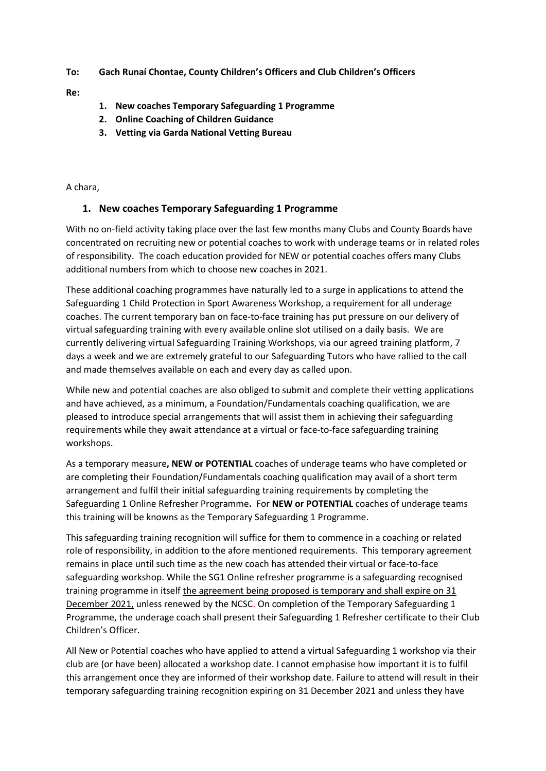## **To: Gach Runaí Chontae, County Children's Officers and Club Children's Officers**

**Re:**

- **1. New coaches Temporary Safeguarding 1 Programme**
- **2. Online Coaching of Children Guidance**
- **3. Vetting via Garda National Vetting Bureau**

A chara,

## **1. New coaches Temporary Safeguarding 1 Programme**

With no on-field activity taking place over the last few months many Clubs and County Boards have concentrated on recruiting new or potential coaches to work with underage teams or in related roles of responsibility. The coach education provided for NEW or potential coaches offers many Clubs additional numbers from which to choose new coaches in 2021.

These additional coaching programmes have naturally led to a surge in applications to attend the Safeguarding 1 Child Protection in Sport Awareness Workshop, a requirement for all underage coaches. The current temporary ban on face-to-face training has put pressure on our delivery of virtual safeguarding training with every available online slot utilised on a daily basis. We are currently delivering virtual Safeguarding Training Workshops, via our agreed training platform, 7 days a week and we are extremely grateful to our Safeguarding Tutors who have rallied to the call and made themselves available on each and every day as called upon.

While new and potential coaches are also obliged to submit and complete their vetting applications and have achieved, as a minimum, a Foundation/Fundamentals coaching qualification, we are pleased to introduce special arrangements that will assist them in achieving their safeguarding requirements while they await attendance at a virtual or face-to-face safeguarding training workshops.

As a temporary measure**, NEW or POTENTIAL** coaches of underage teams who have completed or are completing their Foundation/Fundamentals coaching qualification may avail of a short term arrangement and fulfil their initial safeguarding training requirements by completing the Safeguarding 1 Online Refresher Programme**.** For **NEW or POTENTIAL** coaches of underage teams this training will be knowns as the Temporary Safeguarding 1 Programme.

This safeguarding training recognition will suffice for them to commence in a coaching or related role of responsibility, in addition to the afore mentioned requirements. This temporary agreement remains in place until such time as the new coach has attended their virtual or face-to-face safeguarding workshop. While the SG1 Online refresher programme is a safeguarding recognised training programme in itself the agreement being proposed is temporary and shall expire on 31 December 2021, unless renewed by the NCSC. On completion of the Temporary Safeguarding 1 Programme, the underage coach shall present their Safeguarding 1 Refresher certificate to their Club Children's Officer.

All New or Potential coaches who have applied to attend a virtual Safeguarding 1 workshop via their club are (or have been) allocated a workshop date. I cannot emphasise how important it is to fulfil this arrangement once they are informed of their workshop date. Failure to attend will result in their temporary safeguarding training recognition expiring on 31 December 2021 and unless they have